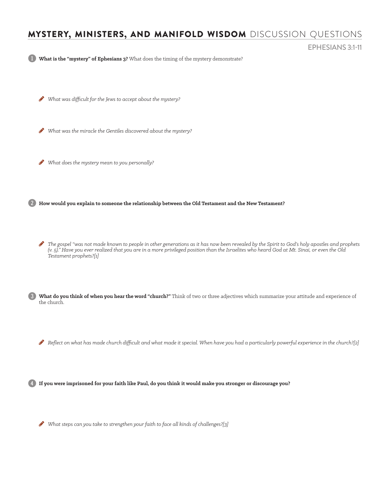## MYSTERY, MINISTERS, AND MANIFOLD WISDOM DISCUSSION QUESTIONS

EPHESIANS 3:1-11

1 **What is the "mystery" of Ephesians 3?** What does the timing of the mystery demonstrate?

H *What was difficult for the Jews to accept about the mystery?* 

H *What was the miracle the Gentiles discovered about the mystery?* 

H *What does the mystery mean to you personally?*

2 **How would you explain to someone the relationship between the Old Testament and the New Testament?** 

 $\bullet$  The gospel "was not made known to people in other generations as it has now been revealed by the Spirit to God's holy apostles and prophets *(v. 5)." Have you ever realized that you are in a more privileged position than the Israelites who heard God at Mt. Sinai, or even the Old Testament prophets?[1]*

3 **What do you think of when you hear the word "church?"** Think of two or three adjectives which summarize your attitude and experience of the church.

 $\blacktriangleright$  Reflect on what has made church difficult and what made it special. When have you had a particularly powerful experience in the church?[2]

4 **If you were imprisoned for your faith like Paul, do you think it would make you stronger or discourage you?** 

H *What steps can you take to strengthen your faith to face all kinds of challenges?[3]*